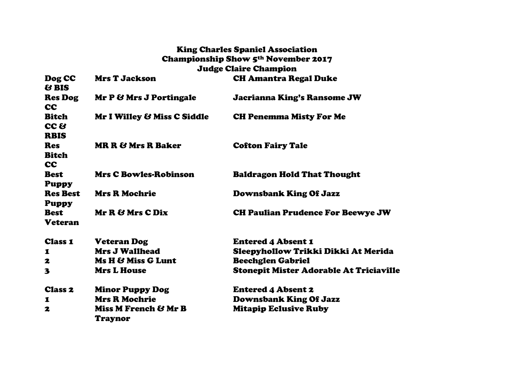## King Charles Spaniel Association Championship Show 5th November 2017 Judge Claire Champion

| Dog CC<br>& BIS                                        | <b>Mrs T Jackson</b>            | <b>CH Amantra Regal Duke</b>                   |
|--------------------------------------------------------|---------------------------------|------------------------------------------------|
| <b>Res Dog</b><br><b>CC</b>                            | Mr P & Mrs J Portingale         | <b>Jacrianna King's Ransome JW</b>             |
| <b>Bitch</b><br>CC <sub>8</sub>                        | Mr I Willey & Miss C Siddle     | <b>CH Penemma Misty For Me</b>                 |
| <b>RBIS</b><br><b>Res</b><br><b>Bitch</b><br><b>CC</b> | <b>MR R &amp; Mrs R Baker</b>   | <b>Cofton Fairy Tale</b>                       |
| <b>Best</b><br><b>Puppy</b>                            | <b>Mrs C Bowles-Robinson</b>    | <b>Baldragon Hold That Thought</b>             |
| <b>Res Best</b><br><b>Puppy</b>                        | <b>Mrs R Mochrie</b>            | <b>Downsbank King Of Jazz</b>                  |
| <b>Best</b><br><b>Veteran</b>                          | Mr R & Mrs C Dix                | <b>CH Paulian Prudence For Beewye JW</b>       |
| <b>Class 1</b>                                         | <b>Veteran Dog</b>              | <b>Entered 4 Absent 1</b>                      |
| 1                                                      | <b>Mrs J Wallhead</b>           | Sleepyhollow Trikki Dikki At Merida            |
| 2                                                      | Ms H & Miss G Lunt              | <b>Beechglen Gabriel</b>                       |
| 3                                                      | <b>Mrs L House</b>              | <b>Stonepit Mister Adorable At Triciaville</b> |
| <b>Class 2</b>                                         | <b>Minor Puppy Dog</b>          | <b>Entered 4 Absent 2</b>                      |
| 1                                                      | <b>Mrs R Mochrie</b>            | <b>Downsbank King Of Jazz</b>                  |
| 2                                                      | Miss M French & Mr B<br>Traynor | <b>Mitapip Eclusive Ruby</b>                   |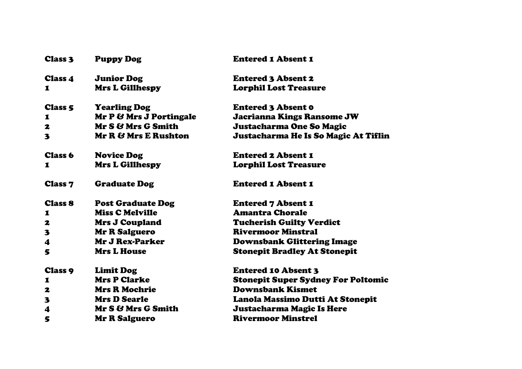| <b>Class 3</b>          | <b>Puppy Dog</b>         | <b>Entered 1 Absent 1</b>                 |
|-------------------------|--------------------------|-------------------------------------------|
| <b>Class 4</b>          | <b>Junior Dog</b>        | <b>Entered 3 Absent 2</b>                 |
| 1                       | <b>Mrs L Gillhespy</b>   | <b>Lorphil Lost Treasure</b>              |
| <b>Class 5</b>          | <b>Yearling Dog</b>      | <b>Entered 3 Absent 0</b>                 |
| 1                       | Mr P & Mrs J Portingale  | <b>Jacrianna Kings Ransome JW</b>         |
| 2                       | Mr S & Mrs G Smith       | Justacharma One So Magic                  |
| 3                       | Mr R & Mrs E Rushton     | Justacharma He Is So Magic At Tiflin      |
| <b>Class 6</b>          | <b>Novice Dog</b>        | <b>Entered 2 Absent 1</b>                 |
| 1                       | <b>Mrs L Gillhespy</b>   | <b>Lorphil Lost Treasure</b>              |
| <b>Class 7</b>          | <b>Graduate Dog</b>      | <b>Entered 1 Absent 1</b>                 |
| <b>Class 8</b>          | <b>Post Graduate Dog</b> | <b>Entered 7 Absent 1</b>                 |
| 1                       | <b>Miss C Melville</b>   | <b>Amantra Chorale</b>                    |
| 2                       | <b>Mrs J Coupland</b>    | <b>Tucherish Guilty Verdict</b>           |
| 3                       | <b>Mr R Salguero</b>     | <b>Rivermoor Minstral</b>                 |
| $\blacktriangleleft$    | <b>Mr J Rex-Parker</b>   | <b>Downsbank Glittering Image</b>         |
| 5                       | <b>Mrs L House</b>       | <b>Stonepit Bradley At Stonepit</b>       |
| <b>Class 9</b>          | <b>Limit Dog</b>         | <b>Entered 10 Absent 3</b>                |
| 1                       | <b>Mrs P Clarke</b>      | <b>Stonepit Super Sydney For Poltomic</b> |
| 2                       | <b>Mrs R Mochrie</b>     | <b>Downsbank Kismet</b>                   |
| $\overline{\mathbf{3}}$ | <b>Mrs D Searle</b>      | Lanola Massimo Dutti At Stonepit          |
| 4                       | Mr S & Mrs G Smith       | Justacharma Magic Is Here                 |
| 5                       | <b>Mr R Salguero</b>     | <b>Rivermoor Minstrel</b>                 |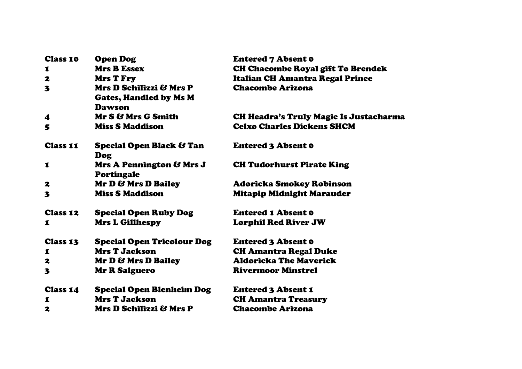| <b>Class 10</b> | <b>Open Dog</b>                                                           | <b>Entered 7 Absent 0</b>                     |  |
|-----------------|---------------------------------------------------------------------------|-----------------------------------------------|--|
| 1               | <b>Mrs B Essex</b>                                                        | <b>CH Chacombe Royal gift To Brendek</b>      |  |
| 2               | <b>Mrs T Fry</b>                                                          | <b>Italian CH Amantra Regal Prince</b>        |  |
| 3               | Mrs D Schilizzi & Mrs P<br><b>Gates, Handled by Ms M</b><br><b>Dawson</b> | <b>Chacombe Arizona</b>                       |  |
| 4               | Mr S & Mrs G Smith                                                        | <b>CH Headra's Truly Magic Is Justacharma</b> |  |
| 5               | <b>Miss S Maddison</b>                                                    | <b>Celxo Charles Dickens SHCM</b>             |  |
| <b>Class 11</b> | <b>Special Open Black &amp; Tan</b><br>Dog                                | <b>Entered 3 Absent 0</b>                     |  |
| $\mathbf I$     | Mrs A Pennington & Mrs J<br><b>Portingale</b>                             | <b>CH Tudorhurst Pirate King</b>              |  |
| 2               | Mr D & Mrs D Bailey                                                       | Adoricka Smokey Robinson                      |  |
| 3               | <b>Miss S Maddison</b>                                                    | <b>Mitapip Midnight Marauder</b>              |  |
| <b>Class 12</b> | <b>Special Open Ruby Dog</b>                                              | <b>Entered 1 Absent 0</b>                     |  |
| 1               | <b>Mrs L Gillhespy</b>                                                    | <b>Lorphil Red River JW</b>                   |  |
| <b>Class 13</b> | <b>Special Open Tricolour Dog</b>                                         | <b>Entered 3 Absent 0</b>                     |  |
| 1               | <b>Mrs T Jackson</b>                                                      | <b>CH Amantra Regal Duke</b>                  |  |
| 2               | <b>Mr D &amp; Mrs D Bailey</b>                                            | <b>Aldoricka The Maverick</b>                 |  |
| 3               | <b>Mr R Salguero</b>                                                      | <b>Rivermoor Minstrel</b>                     |  |
| <b>Class 14</b> | <b>Special Open Blenheim Dog</b>                                          | <b>Entered 3 Absent 1</b>                     |  |
| 1               | <b>Mrs T Jackson</b>                                                      | <b>CH Amantra Treasury</b>                    |  |
| 2               | Mrs D Schilizzi & Mrs P                                                   | <b>Chacombe Arizona</b>                       |  |
|                 |                                                                           |                                               |  |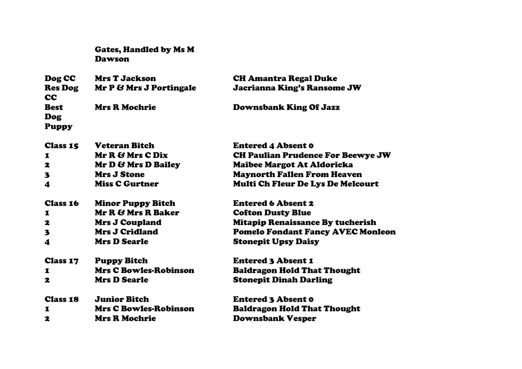Gates, Handled by Ms M Dawson

| Dog CC                             | <b>Mrs T Jackson</b>    | <b>CH Amantra Regal Duke</b>             |
|------------------------------------|-------------------------|------------------------------------------|
| <b>Res Dog</b><br><b>CC</b>        | Mr P & Mrs J Portingale | <b>Jacrianna King's Ransome JW</b>       |
| <b>Best</b><br>Dog<br><b>Puppy</b> | <b>Mrs R Mochrie</b>    | <b>Downsbank King Of Jazz</b>            |
| <b>Class 15</b>                    | <b>Veteran Bitch</b>    | <b>Entered 4 Absent 0</b>                |
| $\mathbf I$                        | Mr R & Mrs C Dix        | <b>CH Paulian Prudence For Beewye JW</b> |
| $\mathbf{z}$                       | Mr D & Mrs D Bailey     | Maibee Margot At Aldoricka               |

3 Mrs J Stone Maynorth Fallen From Heaven

4 Miss C Gurtner Multi Ch Fleur De Lys De Melcourt

| <b>Class 16</b>  | <b>Minor Puppy Bitch</b> | <b>Entered 6 Absent 2</b>                |
|------------------|--------------------------|------------------------------------------|
| $\mathbf 1$      | Mr R & Mrs R Baker       | <b>Cofton Dusty Blue</b>                 |
| 2                | <b>Mrs J Coupland</b>    | <b>Mitapip Renaissance By tucherish</b>  |
| $\mathbf{3}$     | <b>Mrs J Cridland</b>    | <b>Pomelo Fondant Fancy AVEC Monleon</b> |
| $\boldsymbol{4}$ | <b>Mrs D Searle</b>      | <b>Stonepit Upsy Daisy</b>               |
| $M_{max}$        | D. D. 1.                 | Eastanad a Alenant C                     |

Class 17 Puppy Bitch Entered 3 Absent 1 1 Mrs C Bowles-Robinson Baldragon Hold That Thought 2 Mrs D Searle Stonepit Dinah Darling

Class 18 Junior Bitch Entered 3 Absent 0 1 Mrs C Bowles-Robinson Baldragon Hold That Thought 2 Mrs R Mochrie Downsbank Vesper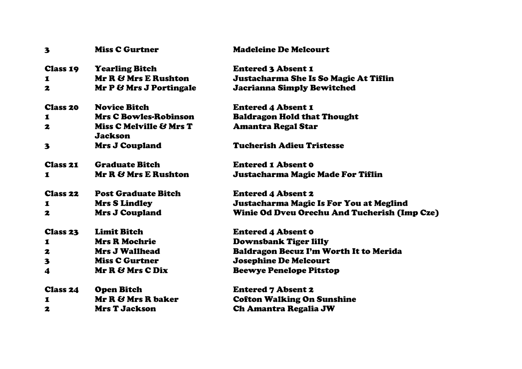| 3               | <b>Miss C Gurtner</b>                     | <b>Madeleine De Melcourt</b>                        |
|-----------------|-------------------------------------------|-----------------------------------------------------|
| <b>Class 19</b> | <b>Yearling Bitch</b>                     | <b>Entered 3 Absent 1</b>                           |
| 1               | Mr R & Mrs E Rushton                      | Justacharma She Is So Magic At Tiflin               |
| 2               | Mr P & Mrs J Portingale                   | <b>Jacrianna Simply Bewitched</b>                   |
| <b>Class 20</b> | <b>Novice Bitch</b>                       | <b>Entered 4 Absent 1</b>                           |
| 1               | <b>Mrs C Bowles-Robinson</b>              | <b>Baldragon Hold that Thought</b>                  |
| 2               | Miss C Melville & Mrs T<br><b>Jackson</b> | <b>Amantra Regal Star</b>                           |
| 3               | <b>Mrs J Coupland</b>                     | <b>Tucherish Adieu Tristesse</b>                    |
| Class 21        | <b>Graduate Bitch</b>                     | <b>Entered 1 Absent 0</b>                           |
| 1               | Mr R & Mrs E Rushton                      | Justacharma Magic Made For Tiflin                   |
| <b>Class 22</b> | <b>Post Graduate Bitch</b>                | <b>Entered 4 Absent 2</b>                           |
| 1               | <b>Mrs S Lindley</b>                      | Justacharma Magic Is For You at Meglind             |
| 2               | <b>Mrs J Coupland</b>                     | <b>Winie Od Dveu Orechu And Tucherish (Imp Cze)</b> |
| <b>Class 23</b> | <b>Limit Bitch</b>                        | <b>Entered 4 Absent 0</b>                           |
| 1               | <b>Mrs R Mochrie</b>                      | <b>Downsbank Tiger lilly</b>                        |
| 2               | <b>Mrs J Wallhead</b>                     | Baldragon Becuz I'm Worth It to Merida              |
| 3               | <b>Miss C Gurtner</b>                     | <b>Josephine De Melcourt</b>                        |
| 4               | Mr R & Mrs C Dix                          | <b>Beewye Penelope Pitstop</b>                      |
| <b>Class 24</b> | <b>Open Bitch</b>                         | <b>Entered 7 Absent 2</b>                           |
| 1               | Mr R & Mrs R baker                        | <b>Cofton Walking On Sunshine</b>                   |
| 2               | <b>Mrs T Jackson</b>                      | <b>Ch Amantra Regalia JW</b>                        |